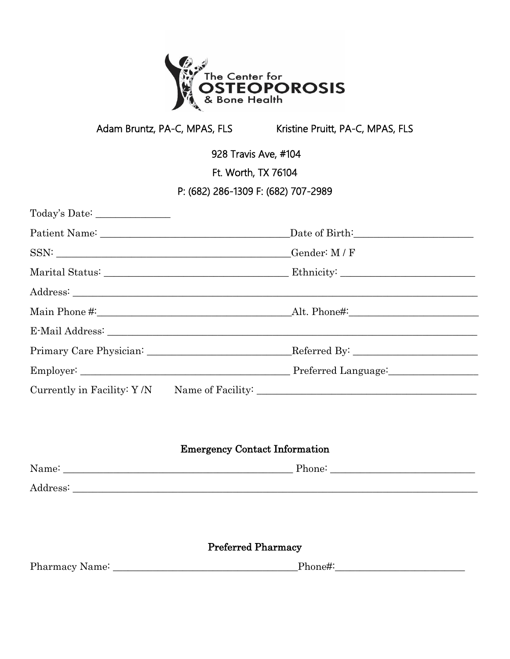

Adam Bruntz, PA-C, MPAS, FLS<br>Kristine Pruitt, PA-C, MPAS, FLS

928 Travis Ave, #104

Ft. Worth, TX 76104

P: (682) 286-1309 F: (682) 707-2989

| Patient Name: Date of Birth: Date of Birth:                                      |  |
|----------------------------------------------------------------------------------|--|
| SSN: Gender: M/F                                                                 |  |
|                                                                                  |  |
|                                                                                  |  |
|                                                                                  |  |
|                                                                                  |  |
|                                                                                  |  |
|                                                                                  |  |
| Currently in Facility: Y/N Name of Facility: ___________________________________ |  |

## Emergency Contact Information

| Name:    | Phone: |
|----------|--------|
| Address: |        |

## Preferred Pharmacy

Pharmacy Name: \_\_\_\_\_\_\_\_\_\_\_\_\_\_\_\_\_\_\_\_\_\_\_\_\_\_\_\_\_\_\_\_\_\_\_\_\_Phone#:\_\_\_\_\_\_\_\_\_\_\_\_\_\_\_\_\_\_\_\_\_\_\_\_\_\_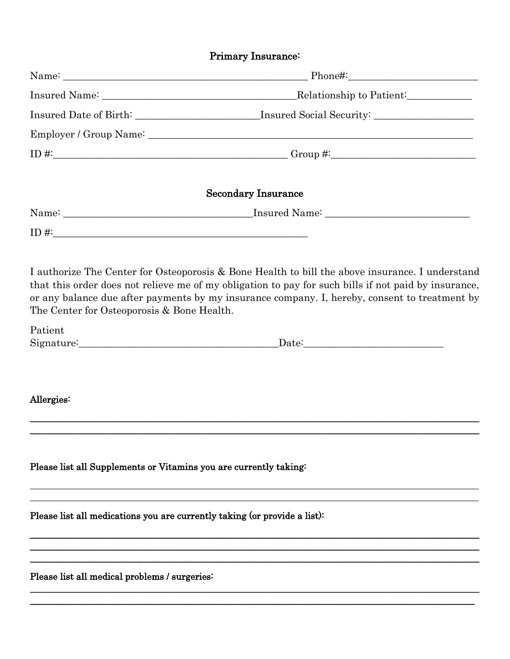| Primary Insurance:                                                |                                                                                                                                                                                                                                |  |  |
|-------------------------------------------------------------------|--------------------------------------------------------------------------------------------------------------------------------------------------------------------------------------------------------------------------------|--|--|
|                                                                   | Name: 2008. [2013] Phone#: 2014. [2013] Phone 2014. [2014] Phone: 2014. [2014] Phone: 2014. [2014] Phone: 2014. [2014] Phone: 2014. [2014] Phone: 2014. [2014] Phone: 2014. [2014] Phone: 2014. [2014] Phone: 2014. [2014] Pho |  |  |
|                                                                   |                                                                                                                                                                                                                                |  |  |
|                                                                   |                                                                                                                                                                                                                                |  |  |
|                                                                   |                                                                                                                                                                                                                                |  |  |
|                                                                   | $ID \#$ : Group #: Group #:                                                                                                                                                                                                    |  |  |
|                                                                   | <b>Secondary Insurance</b>                                                                                                                                                                                                     |  |  |
|                                                                   |                                                                                                                                                                                                                                |  |  |
|                                                                   |                                                                                                                                                                                                                                |  |  |
| The Center for Osteoporosis & Bone Health.                        | that this order does not relieve me of my obligation to pay for such bills if not paid by insurance,<br>or any balance due after payments by my insurance company. I, hereby, consent to treatment by                          |  |  |
| Patient                                                           |                                                                                                                                                                                                                                |  |  |
|                                                                   |                                                                                                                                                                                                                                |  |  |
| Allergies:                                                        |                                                                                                                                                                                                                                |  |  |
| Please list all Supplements or Vitamins you are currently taking: |                                                                                                                                                                                                                                |  |  |

Please list all medications you are currently taking (or provide a list):

Please list all medical problems / surgeries: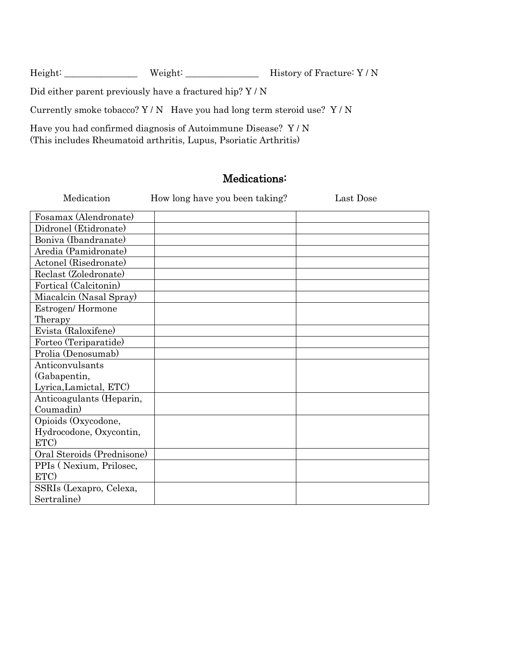Height: \_\_\_\_\_\_\_\_\_\_\_\_\_\_\_\_ Weight: \_\_\_\_\_\_\_\_\_\_\_\_\_\_\_\_ History of Fracture: Y / N

Did either parent previously have a fractured hip? Y / N

Currently smoke tobacco? Y / N Have you had long term steroid use? Y / N

Have you had confirmed diagnosis of Autoimmune Disease? Y / N (This includes Rheumatoid arthritis, Lupus, Psoriatic Arthritis)

## Medications:

| Medication                 | How long have you been taking? | Last Dose |
|----------------------------|--------------------------------|-----------|
| Fosamax (Alendronate)      |                                |           |
| Didronel (Etidronate)      |                                |           |
| Boniva (Ibandranate)       |                                |           |
| Aredia (Pamidronate)       |                                |           |
| Actonel (Risedronate)      |                                |           |
| Reclast (Zoledronate)      |                                |           |
| Fortical (Calcitonin)      |                                |           |
| Miacalcin (Nasal Spray)    |                                |           |
| Estrogen/Hormone           |                                |           |
| Therapy                    |                                |           |
| Evista (Raloxifene)        |                                |           |
| Forteo (Teriparatide)      |                                |           |
| Prolia (Denosumab)         |                                |           |
| Anticonvulsants            |                                |           |
| (Gabapentin,               |                                |           |
| Lyrica, Lamictal, ETC)     |                                |           |
| Anticoagulants (Heparin,   |                                |           |
| Coumadin)                  |                                |           |
| Opioids (Oxycodone,        |                                |           |
| Hydrocodone, Oxycontin,    |                                |           |
| ETC)                       |                                |           |
| Oral Steroids (Prednisone) |                                |           |
| PPIs (Nexium, Prilosec,    |                                |           |
| ETC)                       |                                |           |
| SSRIs (Lexapro, Celexa,    |                                |           |
| Sertraline)                |                                |           |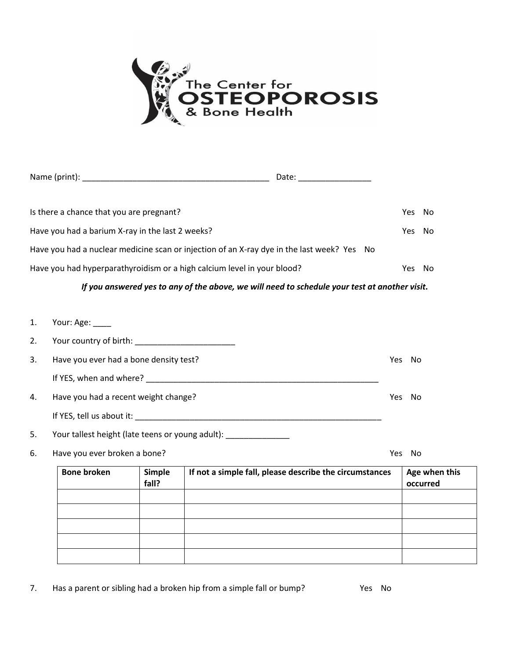

| Name (print):                                                                              | Date: |      |     |
|--------------------------------------------------------------------------------------------|-------|------|-----|
|                                                                                            |       |      |     |
| Is there a chance that you are pregnant?                                                   |       | Yes. | No. |
| Have you had a barium X-ray in the last 2 weeks?                                           |       | Yes. | No. |
| Have you had a nuclear medicine scan or injection of an X-ray dye in the last week? Yes No |       |      |     |
| Have you had hyperparathyroidism or a high calcium level in your blood?                    |       | Yes. | No. |

#### *If you answered yes to any of the above, we will need to schedule your test at another visit.*

1. Your: Age: \_\_\_\_

| 2. | Your country of birth: _____________________ |      |     |
|----|----------------------------------------------|------|-----|
| 3. | Have you ever had a bone density test?       | Yes  | No. |
|    |                                              |      |     |
| 4. | Have you had a recent weight change?         | Yes. | .No |
|    |                                              |      |     |

- 5. Your tallest height (late teens or young adult): \_\_\_\_\_\_\_\_\_\_\_\_\_\_\_\_\_\_\_\_\_\_\_\_\_\_\_\_
- 6. Have you ever broken a bone? Yes No
- 

| <b>Bone broken</b> | Simple<br>fall? | If not a simple fall, please describe the circumstances | Age when this<br>occurred |
|--------------------|-----------------|---------------------------------------------------------|---------------------------|
|                    |                 |                                                         |                           |
|                    |                 |                                                         |                           |
|                    |                 |                                                         |                           |
|                    |                 |                                                         |                           |
|                    |                 |                                                         |                           |

7. Has a parent or sibling had a broken hip from a simple fall or bump? Yes No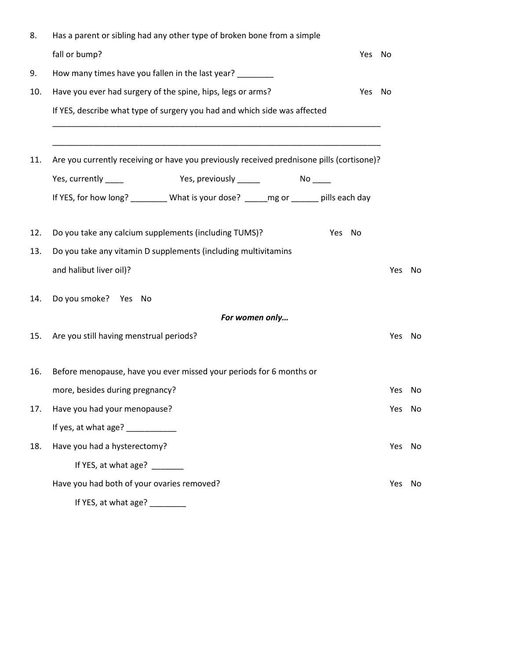| 8.  | Has a parent or sibling had any other type of broken bone from a simple                   |        |      |
|-----|-------------------------------------------------------------------------------------------|--------|------|
|     | fall or bump?                                                                             | Yes No |      |
| 9.  | How many times have you fallen in the last year? _______                                  |        |      |
| 10. | Have you ever had surgery of the spine, hips, legs or arms?                               | Yes No |      |
|     | If YES, describe what type of surgery you had and which side was affected                 |        |      |
|     |                                                                                           |        |      |
| 11. | Are you currently receiving or have you previously received prednisone pills (cortisone)? |        |      |
|     | Yes, currently ____                                                                       |        |      |
|     | If YES, for how long? ________ What is your dose? _____ mg or ______ pills each day       |        |      |
| 12. | Do you take any calcium supplements (including TUMS)?<br>Yes No                           |        |      |
| 13. | Do you take any vitamin D supplements (including multivitamins                            |        |      |
|     | and halibut liver oil)?                                                                   | Yes    | - No |
| 14. | Do you smoke? Yes No                                                                      |        |      |
|     | For women only                                                                            |        |      |
| 15. | Are you still having menstrual periods?                                                   | Yes No |      |
| 16. | Before menopause, have you ever missed your periods for 6 months or                       |        |      |
|     | more, besides during pregnancy?                                                           | Yes    | No   |
| 17. | Have you had your menopause?                                                              | Yes No |      |
|     | If yes, at what age? ___________                                                          |        |      |
| 18. | Have you had a hysterectomy?                                                              | Yes No |      |
|     | If YES, at what age?                                                                      |        |      |
|     | Have you had both of your ovaries removed?                                                | Yes    | No   |
|     | If YES, at what age?                                                                      |        |      |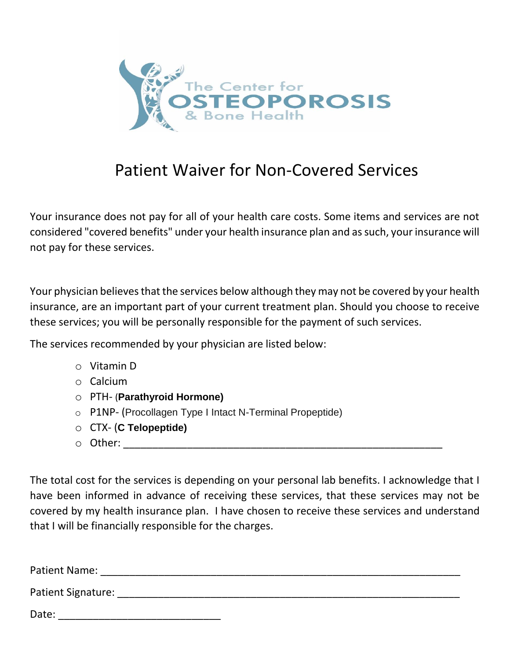

# Patient Waiver for Non-Covered Services

Your insurance does not pay for all of your health care costs. Some items and services are not considered "covered benefits" under your health insurance plan and as such, your insurance will not pay for these services.

Your physician believes that the services below although they may not be covered by your health insurance, are an important part of your current treatment plan. Should you choose to receive these services; you will be personally responsible for the payment of such services.

The services recommended by your physician are listed below:

- o Vitamin D
- o Calcium
- o PTH- (**Parathyroid Hormone)**
- o P1NP- (Procollagen Type I Intact N-Terminal Propeptide)
- o CTX- (**C Telopeptide)**
- o Other: \_\_\_\_\_\_\_\_\_\_\_\_\_\_\_\_\_\_\_\_\_\_\_\_\_\_\_\_\_\_\_\_\_\_\_\_\_\_\_\_\_\_\_\_\_\_\_\_\_\_\_\_\_\_\_

The total cost for the services is depending on your personal lab benefits. I acknowledge that I have been informed in advance of receiving these services, that these services may not be covered by my health insurance plan. I have chosen to receive these services and understand that I will be financially responsible for the charges.

| Patient Name:      |  |
|--------------------|--|
| Patient Signature: |  |
| Date:              |  |